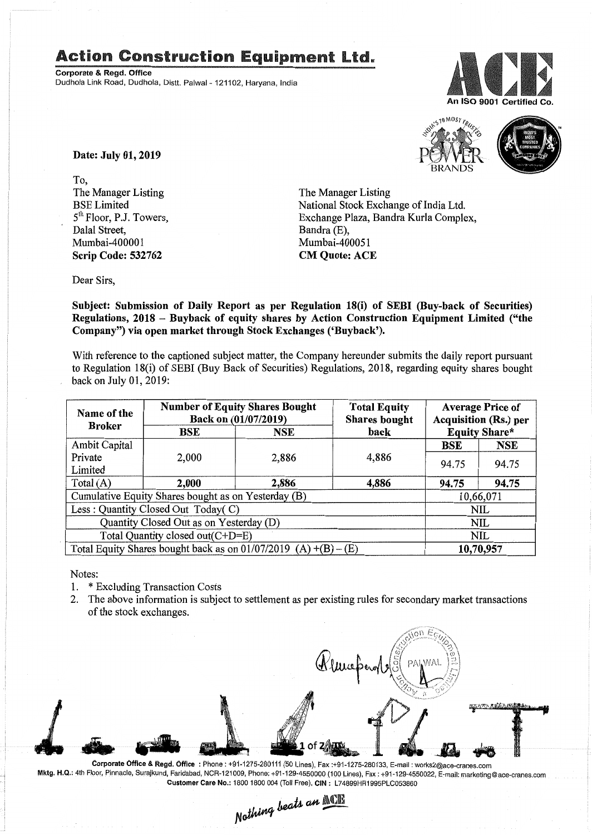## **Action Construction Equipment Ltd.**

Corporate & Regd. Office Dudhola Link Road, Dudhola, Distt. Palwal- 121102, Haryana, India





Date: July 01, 2019

To, The Manager Listing BSE Limited 5<sup>th</sup> Floor, P.J. Towers, Dalal Street, Mumbai-40000I Scrip Code: 532762

The Manager Listing National Stock Exchange of India Ltd. Exchange Plaza, Bandra Kurla Complex, Bandra (E), Mumbai-400051 CM Quote: ACE

Dear Sirs,

Subject: Submission of Daily Report as per Regulation 18(i) of SEBI (Buy-back of Securities) Regulations, 2018 - Buyback of equity shares by Action Construction Equipment Limited ("the Company") via open market through Stock Exchanges ('Buyback').

With reference to the captioned subject matter, the Company hereunder submits the daily report pursuant to Regulation 18(i) of SEBI (Buy Back of Securities) Regulations, 2018, regarding equity shares bought back on July 01, 2019:

| Name of the<br><b>Broker</b>                                      | <b>Number of Equity Shares Bought</b><br>Back on (01/07/2019) |       | <b>Total Equity</b><br><b>Shares</b> bought | <b>Average Price of</b><br><b>Acquisition (Rs.) per</b> |            |  |
|-------------------------------------------------------------------|---------------------------------------------------------------|-------|---------------------------------------------|---------------------------------------------------------|------------|--|
|                                                                   | BSE                                                           | NSE   | back                                        | <b>Equity Share*</b>                                    |            |  |
| <b>Ambit Capital</b>                                              |                                                               |       |                                             | BSE                                                     | <b>NSE</b> |  |
| Private                                                           | 2,000                                                         | 2,886 | 4,886                                       | 94.75                                                   | 94.75      |  |
| Limited                                                           |                                                               |       |                                             |                                                         |            |  |
| Total $(A)$                                                       | 2,000                                                         | 2,886 | 4,886                                       | 94.75                                                   | 94.75      |  |
| Cumulative Equity Shares bought as on Yesterday (B)               |                                                               |       |                                             |                                                         | 10,66,071  |  |
| Less: Quantity Closed Out Today(C)                                |                                                               |       |                                             | NIL                                                     |            |  |
| Quantity Closed Out as on Yesterday (D)                           |                                                               |       |                                             | NIL                                                     |            |  |
| Total Quantity closed out(C+D=E)                                  |                                                               |       |                                             |                                                         | NIL        |  |
| Total Equity Shares bought back as on $01/07/2019$ (A) +(B) – (E) |                                                               |       |                                             | 10,70,957                                               |            |  |

Notes:

- 1. \* Excluding Transaction Costs
- 2. The above information is subject to settlement as per existing rules for secondary market transactions of the stock exchanges.

**ANATANEAMER** 

Corporate Office & Regd. Office: Phone: +91-1275-280111 (50 Lines), Fax:+91-1275-280133, E-mail: works2@ace-cranes.com Mktg. H.Q.: 4th Floor, Pinnacle, Surajkund, Faridabad, NCR-121009, Phone: +91-129-4550000 (100 Lines), Fax: +91-129-4550022, E-mail: marketing@ace-cranes.com

Customer Care No.: 1800 1800 004 (Toll Free), CIN: L74899HR1995PLC053860<br>Nathing beats an **Malli**